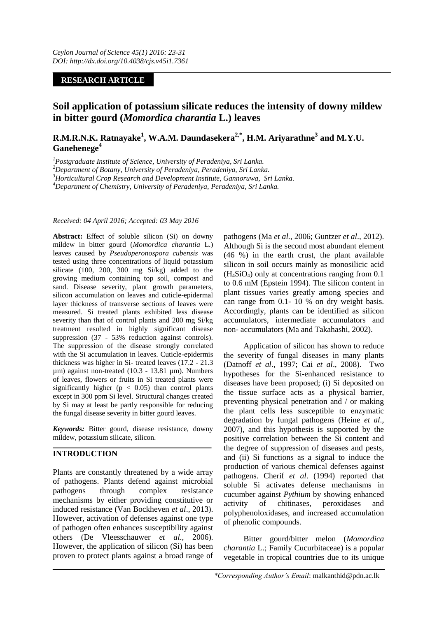### **RESEARCH ARTICLE**

# **Soil application of potassium silicate reduces the intensity of downy mildew in bitter gourd (***Momordica charantia* **L.) leaves**

# **R.M.R.N.K. Ratnayake<sup>1</sup> , W.A.M. Daundasekera2,\* , H.M. Ariyarathne<sup>3</sup> and M.Y.U. Ganehenege<sup>4</sup>**

*<sup>1</sup>Postgraduate Institute of Science, University of Peradeniya, Sri Lanka.*

*<sup>2</sup>Department of Botany, University of Peradeniya, Peradeniya, Sri Lanka.*

*<sup>3</sup>Horticultural Crop Research and Development Institute, Gannoruwa, Sri Lanka.*

*<sup>4</sup>Department of Chemistry, University of Peradeniya, Peradeniya, Sri Lanka.*

#### *Received: 04 April 2016; Accepted: 03 May 2016*

**Abstract:** Effect of soluble silicon (Si) on downy mildew in bitter gourd (*Momordica charantia* L.) leaves caused by *Pseudoperonospora cubensis* was tested using three concentrations of liquid potassium silicate (100, 200, 300 mg Si/kg) added to the growing medium containing top soil, compost and sand. Disease severity, plant growth parameters, silicon accumulation on leaves and cuticle-epidermal layer thickness of transverse sections of leaves were measured. Si treated plants exhibited less disease severity than that of control plants and 200 mg Si/kg treatment resulted in highly significant disease suppression (37 - 53% reduction against controls). The suppression of the disease strongly correlated with the Si accumulation in leaves. Cuticle-epidermis thickness was higher in Si- treated leaves (17.2 - 21.3 µm) against non-treated (10.3 - 13.81 µm). Numbers of leaves, flowers or fruits in Si treated plants were significantly higher ( $p < 0.05$ ) than control plants except in 300 ppm Si level. Structural changes created by Si may at least be partly responsible for reducing the fungal disease severity in bitter gourd leaves.

*Keywords:* Bitter gourd, disease resistance, downy mildew, potassium silicate, silicon.

## **INTRODUCTION**

Plants are constantly threatened by a wide array of pathogens. Plants defend against microbial pathogens through complex resistance mechanisms by either providing constitutive or induced resistance (Van Bockheven *et al*., 2013). However, activation of defenses against one type of pathogen often enhances susceptibility against others (De Vleesschauwer *et al*., 2006). However, the application of silicon (Si) has been proven to protect plants against a broad range of

pathogens (Ma *et al.*, 2006; Guntzer *et al*., 2012). Although Si is the second most abundant element (46 %) in the earth crust, the plant available silicon in soil occurs mainly as monosilicic acid  $(H<sub>4</sub>SiO<sub>4</sub>)$  only at concentrations ranging from 0.1 to 0.6 mM (Epstein 1994). The silicon content in plant tissues varies greatly among species and can range from 0.1- 10 % on dry weight basis. Accordingly, plants can be identified as silicon accumulators, intermediate accumulators and non- accumulators (Ma and Takahashi, 2002).

Application of silicon has shown to reduce the severity of fungal diseases in many plants (Datnoff *et al*., 1997; Cai *et al*., 2008). Two hypotheses for the Si-enhanced resistance to diseases have been proposed; (i) Si deposited on the tissue surface acts as a physical barrier, preventing physical penetration and / or making the plant cells less susceptible to enzymatic degradation by fungal pathogens (Heine *et al*., 2007), and this hypothesis is supported by the positive correlation between the Si content and the degree of suppression of diseases and pests, and (ii) Si functions as a signal to induce the production of various chemical defenses against pathogens. Cherif *et al*. (1994) reported that soluble Si activates defense mechanisms in cucumber against *Pythium* by showing enhanced activity of chitinases, peroxidases and polyphenoloxidases, and increased accumulation of phenolic compounds.

Bitter gourd/bitter melon (*Momordica charantia* L.; Family Cucurbitaceae) is a popular vegetable in tropical countries due to its unique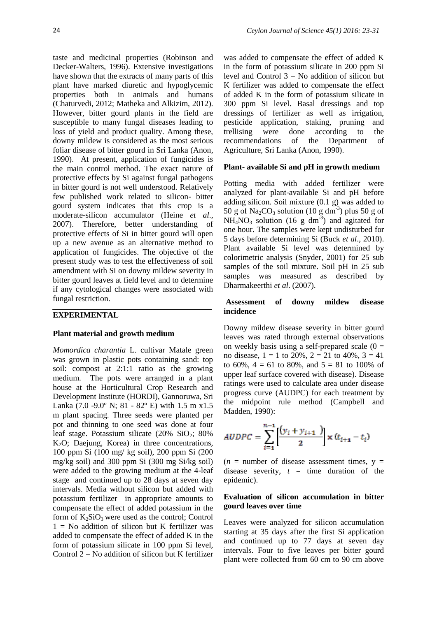taste and medicinal properties (Robinson and Decker-Walters, 1996). Extensive investigations have shown that the extracts of many parts of this plant have marked diuretic and hypoglycemic properties both in animals and humans (Chaturvedi, 2012; Matheka and Alkizim, 2012). However, bitter gourd plants in the field are susceptible to many fungal diseases leading to loss of yield and product quality. Among these, downy mildew is considered as the most serious foliar disease of bitter gourd in Sri Lanka (Anon, 1990). At present, application of fungicides is the main control method. The exact nature of protective effects by Si against fungal pathogens in bitter gourd is not well understood. Relatively few published work related to silicon- bitter gourd system indicates that this crop is a moderate-silicon accumulator (Heine *et al*., 2007). Therefore, better understanding of protective effects of Si in bitter gourd will open up a new avenue as an alternative method to application of fungicides. The objective of the present study was to test the effectiveness of soil amendment with Si on downy mildew severity in bitter gourd leaves at field level and to determine if any cytological changes were associated with fungal restriction.

#### **EXPERIMENTAL**

#### **Plant material and growth medium**

*Momordica charantia* L. cultivar Matale green was grown in plastic pots containing sand: top soil: compost at 2:1:1 ratio as the growing medium. The pots were arranged in a plant house at the Horticultural Crop Research and Development Institute (HORDI), Gannoruwa, Sri Lanka (7.0 -9.0º N; 81 - 82º E) with 1.5 m x1.5 m plant spacing. Three seeds were planted per pot and thinning to one seed was done at four leaf stage. Potassium silicate  $(20\%$  SiO<sub>2</sub>; 80% K2O; Daejung, Korea) in three concentrations, 100 ppm Si (100 mg/ kg soil), 200 ppm Si (200 mg/kg soil) and 300 ppm Si (300 mg Si/kg soil) were added to the growing medium at the 4-leaf stage and continued up to 28 days at seven day intervals. Media without silicon but added with potassium fertilizer in appropriate amounts to compensate the effect of added potassium in the form of  $K_2SiO_3$  were used as the control; Control  $1 = No$  addition of silicon but K fertilizer was added to compensate the effect of added K in the form of potassium silicate in 100 ppm Si level, Control  $2 = No$  addition of silicon but K fertilizer

was added to compensate the effect of added K in the form of potassium silicate in 200 ppm Si level and Control  $3 = No$  addition of silicon but K fertilizer was added to compensate the effect of added K in the form of potassium silicate in 300 ppm Si level. Basal dressings and top dressings of fertilizer as well as irrigation, pesticide application, staking, pruning and trellising were done according to the recommendations of the Department of Agriculture, Sri Lanka (Anon, 1990).

#### **Plant- available Si and pH in growth medium**

Potting media with added fertilizer were analyzed for plant-available Si and pH before adding silicon. Soil mixture (0.1 g) was added to 50 g of  $\text{Na}_2\text{CO}_3$  solution (10 g dm<sup>-3</sup>) plus 50 g of  $NH<sub>4</sub>NO<sub>3</sub>$  solution (16 g dm<sup>-3</sup>) and agitated for one hour. The samples were kept undisturbed for 5 days before determining Si (Buck *et al*., 2010). Plant available Si level was determined by colorimetric analysis (Snyder, 2001) for 25 sub samples of the soil mixture. Soil pH in 25 sub samples was measured as described by Dharmakeerthi *et al*. (2007).

#### **Assessment of downy mildew disease incidence**

Downy mildew disease severity in bitter gourd leaves was rated through external observations on weekly basis using a self-prepared scale  $(0 =$ no disease,  $1 = 1$  to 20%,  $2 = 21$  to 40%,  $3 = 41$ to 60%,  $4 = 61$  to 80%, and  $5 = 81$  to 100% of upper leaf surface covered with disease). Disease ratings were used to calculate area under disease progress curve (AUDPC) for each treatment by the midpoint rule method (Campbell and Madden, 1990):

$$
AUDPC = \sum_{i=1}^{n-1} \left[ \frac{(y_i + y_{i+1})}{2} \right] \times (t_{i+1} - t_i)
$$

 $(n =$  number of disease assessment times,  $y =$ disease severity,  $t =$  time duration of the epidemic).

#### **Evaluation of silicon accumulation in bitter gourd leaves over time**

Leaves were analyzed for silicon accumulation starting at 35 days after the first Si application and continued up to 77 days at seven day intervals. Four to five leaves per bitter gourd plant were collected from 60 cm to 90 cm above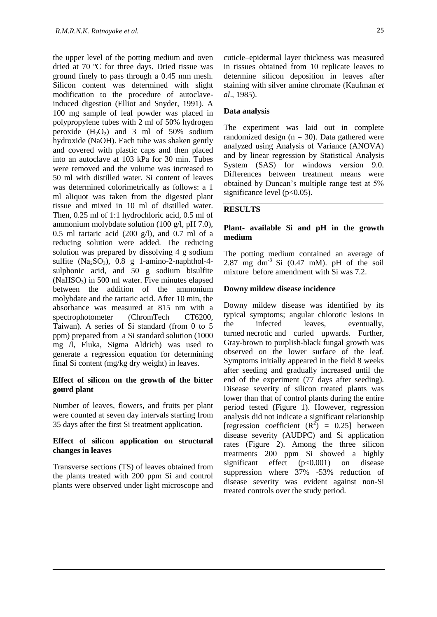the upper level of the potting medium and oven dried at 70 ºC for three days. Dried tissue was ground finely to pass through a 0.45 mm mesh. Silicon content was determined with slight modification to the procedure of autoclaveinduced digestion (Elliot and Snyder, 1991). A 100 mg sample of leaf powder was placed in polypropylene tubes with 2 ml of 50% hydrogen peroxide  $(H_2O_2)$  and 3 ml of 50% sodium hydroxide (NaOH). Each tube was shaken gently and covered with plastic caps and then placed into an autoclave at 103 kPa for 30 min. Tubes were removed and the volume was increased to 50 ml with distilled water. Si content of leaves was determined colorimetrically as follows: a 1 ml aliquot was taken from the digested plant tissue and mixed in 10 ml of distilled water. Then, 0.25 ml of 1:1 hydrochloric acid, 0.5 ml of ammonium molybdate solution (100 g/l, pH 7.0), 0.5 ml tartaric acid (200 g/l), and 0.7 ml of a reducing solution were added. The reducing solution was prepared by dissolving 4 g sodium sulfite  $(Na_2SO_3)$ , 0.8 g 1-amino-2-naphthol-4sulphonic acid, and 50 g sodium bisulfite  $(NaHSO<sub>3</sub>)$  in 500 ml water. Five minutes elapsed between the addition of the ammonium molybdate and the tartaric acid. After 10 min, the absorbance was measured at 815 nm with a spectrophotometer (ChromTech CT6200, Taiwan). A series of Si standard (from 0 to 5 ppm) prepared from a Si standard solution (1000 mg /l, Fluka, Sigma Aldrich) was used to generate a regression equation for determining final Si content (mg/kg dry weight) in leaves.

### **Effect of silicon on the growth of the bitter gourd plant**

Number of leaves, flowers, and fruits per plant were counted at seven day intervals starting from 35 days after the first Si treatment application.

### **Effect of silicon application on structural changes in leaves**

Transverse sections (TS) of leaves obtained from the plants treated with 200 ppm Si and control plants were observed under light microscope and

### **Data analysis**

The experiment was laid out in complete randomized design  $(n = 30)$ . Data gathered were analyzed using Analysis of Variance (ANOVA) and by linear regression by Statistical Analysis System (SAS) for windows version 9.0. Differences between treatment means were obtained by Duncan's multiple range test at 5% significance level ( $p<0.05$ ).

### **RESULTS**

### **Plant- available Si and pH in the growth medium**

The potting medium contained an average of 2.87 mg dm<sup>-3</sup> Si  $(0.47 \text{ mM})$ , pH of the soil mixture before amendment with Si was 7.2.

### **Downy mildew disease incidence**

Downy mildew disease was identified by its typical symptoms; angular chlorotic lesions in the infected leaves, eventually, turned necrotic and curled upwards. Further, Gray-brown to purplish-black fungal growth was observed on the lower surface of the leaf. Symptoms initially appeared in the field 8 weeks after seeding and gradually increased until the end of the experiment (77 days after seeding). Disease severity of silicon treated plants was lower than that of control plants during the entire period tested (Figure 1). However, regression analysis did not indicate a significant relationship [regression coefficient  $(R^2) = 0.25$ ] between disease severity (AUDPC) and Si application rates (Figure 2). Among the three silicon treatments 200 ppm Si showed a highly significant effect (p<0.001) on disease suppression where 37% -53% reduction of disease severity was evident against non-Si treated controls over the study period.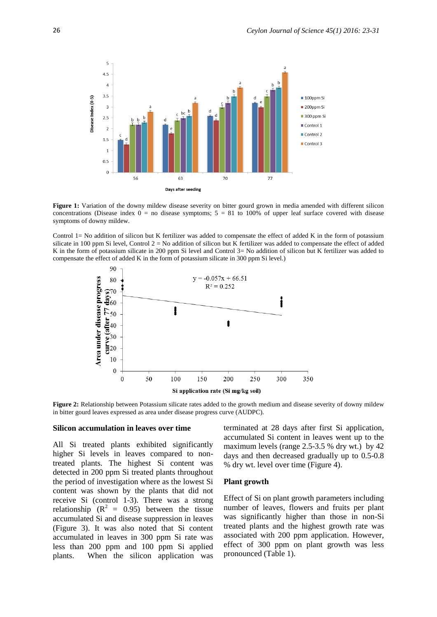

**Figure 1:** Variation of the downy mildew disease severity on bitter gourd grown in media amended with different silicon concentrations (Disease index  $0 =$  no disease symptoms;  $5 = 81$  to 100% of upper leaf surface covered with disease symptoms of downy mildew.

Control 1= No addition of silicon but K fertilizer was added to compensate the effect of added K in the form of potassium silicate in 100 ppm Si level, Control  $2 = No$  addition of silicon but K fertilizer was added to compensate the effect of added K in the form of potassium silicate in 200 ppm Si level and Control 3= No addition of silicon but K fertilizer was added to compensate the effect of added K in the form of potassium silicate in 300 ppm Si level.)



**Figure 2:** Relationship between Potassium silicate rates added to the growth medium and disease severity of downy mildew in bitter gourd leaves expressed as area under disease progress curve (AUDPC).

#### **Silicon accumulation in leaves over time**

All Si treated plants exhibited significantly higher Si levels in leaves compared to nontreated plants. The highest Si content was detected in 200 ppm Si treated plants throughout the period of investigation where as the lowest Si content was shown by the plants that did not receive Si (control 1-3). There was a strong relationship  $(R^2 = 0.95)$  between the tissue accumulated Si and disease suppression in leaves (Figure 3). It was also noted that Si content accumulated in leaves in 300 ppm Si rate was less than 200 ppm and 100 ppm Si applied plants. When the silicon application was terminated at 28 days after first Si application, accumulated Si content in leaves went up to the maximum levels (range 2.5-3.5 % dry wt.) by 42 days and then decreased gradually up to 0.5-0.8 % dry wt. level over time (Figure 4).

#### **Plant growth**

Effect of Si on plant growth parameters including number of leaves, flowers and fruits per plant was significantly higher than those in non-Si treated plants and the highest growth rate was associated with 200 ppm application. However, effect of 300 ppm on plant growth was less pronounced (Table 1).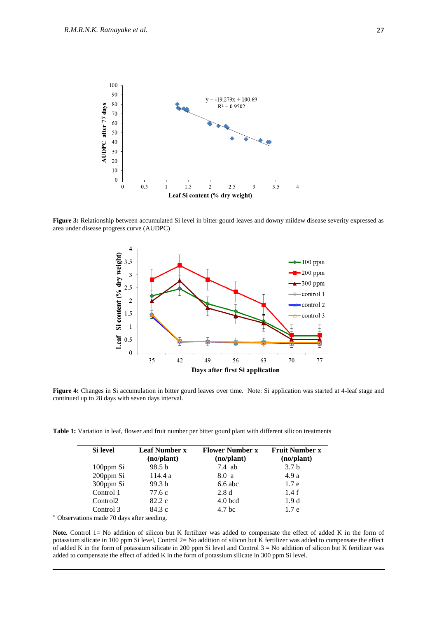

**Figure 3:** Relationship between accumulated Si level in bitter gourd leaves and downy mildew disease severity expressed as area under disease progress curve (AUDPC)



**Figure 4:** Changes in Si accumulation in bitter gourd leaves over time. Note: Si application was started at 4-leaf stage and continued up to 28 days with seven days interval.

**Table 1:** Variation in leaf, flower and fruit number per bitter gourd plant with different silicon treatments

| Si level             | <b>Leaf Number x</b><br>(no/plant) | <b>Flower Number x</b><br>(no/plant) | <b>Fruit Number x</b><br>(no/plant) |
|----------------------|------------------------------------|--------------------------------------|-------------------------------------|
| 100ppm Si            | 98.5 <sub>b</sub>                  | $7.4$ ab                             | 3.7 <sub>b</sub>                    |
| 200ppm Si            | 114.4a                             | 8.0a                                 | 4.9 a                               |
| 300ppm Si            | 99.3 <sub>b</sub>                  | $6.6$ abc                            | 1.7 <sub>e</sub>                    |
| Control 1            | 77.6 c                             | 2.8d                                 | 1.4f                                |
| Control <sub>2</sub> | 82.2c                              | $4.0$ bcd                            | 1.9d                                |
| Control 3            | 84.3 c                             | 4.7 <sub>bc</sub>                    | 1.7e                                |

<sup>x</sup>Observations made 70 days after seeding.

Note. Control 1= No addition of silicon but K fertilizer was added to compensate the effect of added K in the form of potassium silicate in 100 ppm Si level, Control 2= No addition of silicon but K fertilizer was added to compensate the effect of added K in the form of potassium silicate in 200 ppm Si level and Control  $3 = No$  addition of silicon but K fertilizer was added to compensate the effect of added K in the form of potassium silicate in 300 ppm Si level.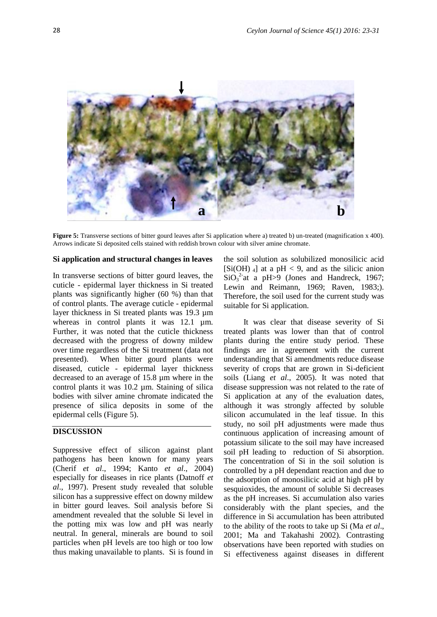

**Figure 5:** Transverse sections of bitter gourd leaves after Si application where a) treated b) un-treated (magnification x 400). Arrows indicate Si deposited cells stained with reddish brown colour with silver amine chromate.

#### **Si application and structural changes in leaves**

In transverse sections of bitter gourd leaves, the cuticle - epidermal layer thickness in Si treated plants was significantly higher (60 %) than that of control plants. The average cuticle - epidermal layer thickness in Si treated plants was 19.3 µm whereas in control plants it was 12.1  $\mu$ m. Further, it was noted that the cuticle thickness decreased with the progress of downy mildew over time regardless of the Si treatment (data not presented). When bitter gourd plants were diseased, cuticle - epidermal layer thickness decreased to an average of 15.8 µm where in the control plants it was 10.2 µm. Staining of silica bodies with silver amine chromate indicated the presence of silica deposits in some of the epidermal cells (Figure 5).

### **DISCUSSION**

Suppressive effect of silicon against plant pathogens has been known for many years (Cherif *et al*., 1994; Kanto *et al*., 2004) especially for diseases in rice plants (Datnoff *et al*., 1997). Present study revealed that soluble silicon has a suppressive effect on downy mildew in bitter gourd leaves. Soil analysis before Si amendment revealed that the soluble Si level in the potting mix was low and pH was nearly neutral. In general, minerals are bound to soil particles when pH levels are too high or too low thus making unavailable to plants. Si is found in the soil solution as solubilized monosilicic acid  $[Si(OH)_{4}]$  at a pH < 9, and as the silicic anion  $SiO<sub>3</sub><sup>2</sup>$ at a pH $>9$  (Jones and Handreck, 1967; Lewin and Reimann, 1969; Raven, 1983;). Therefore, the soil used for the current study was suitable for Si application.

It was clear that disease severity of Si treated plants was lower than that of control plants during the entire study period. These findings are in agreement with the current understanding that Si amendments reduce disease severity of crops that are grown in Si-deficient soils (Liang *et al*., 2005). It was noted that disease suppression was not related to the rate of Si application at any of the evaluation dates, although it was strongly affected by soluble silicon accumulated in the leaf tissue. In this study, no soil pH adjustments were made thus continuous application of increasing amount of potassium silicate to the soil may have increased soil pH leading to reduction of Si absorption. The concentration of Si in the soil solution is controlled by a pH dependant reaction and due to the adsorption of monosilicic acid at high pH by sesquioxides, the amount of soluble Si decreases as the pH increases. Si accumulation also varies considerably with the plant species, and the difference in Si accumulation has been attributed to the ability of the roots to take up Si (Ma *et al*., 2001; Ma and Takahashi 2002). Contrasting observations have been reported with studies on Si effectiveness against diseases in different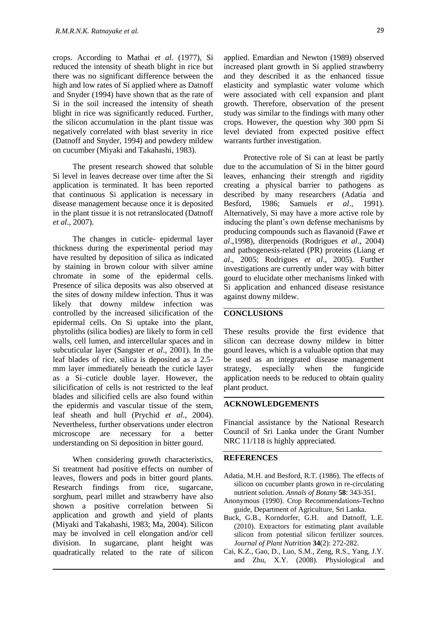crops. According to Mathai *et al*. (1977), Si reduced the intensity of sheath blight in rice but there was no significant difference between the high and low rates of Si applied where as Datnoff and Snyder (1994) have shown that as the rate of Si in the soil increased the intensity of sheath blight in rice was significantly reduced. Further, the silicon accumulation in the plant tissue was negatively correlated with blast severity in rice (Datnoff and Snyder, 1994) and powdery mildew on cucumber (Miyaki and Takahashi, 1983).

The present research showed that soluble Si level in leaves decrease over time after the Si application is terminated. It has been reported that continuous Si application is necessary in disease management because once it is deposited in the plant tissue it is not retranslocated (Datnoff *et al*., 2007).

The changes in cuticle- epidermal layer thickness during the experimental period may have resulted by deposition of silica as indicated by staining in brown colour with silver amine chromate in some of the epidermal cells. Presence of silica deposits was also observed at the sites of downy mildew infection. Thus it was likely that downy mildew infection was controlled by the increased silicification of the epidermal cells. On Si uptake into the plant, phytoliths (silica bodies) are likely to form in cell walls, cell lumen, and intercellular spaces and in subcuticular layer (Sangster *et al*., 2001). In the leaf blades of rice, silica is deposited as a 2.5 mm layer immediately beneath the cuticle layer as a Si–cuticle double layer. However, the silicification of cells is not restricted to the leaf blades and silicified cells are also found within the epidermis and vascular tissue of the stem, leaf sheath and hull (Prychid *et al*., 2004). Nevertheless, further observations under electron microscope are necessary for a better understanding on Si deposition in bitter gourd.

When considering growth characteristics, Si treatment had positive effects on number of leaves, flowers and pods in bitter gourd plants. Research findings from rice, sugarcane, sorghum, pearl millet and strawberry have also shown a positive correlation between Si application and growth and yield of plants (Miyaki and Takahashi, 1983; Ma*,* 2004). Silicon may be involved in cell elongation and/or cell division. In sugarcane, plant height was quadratically related to the rate of silicon

applied. Emardian and Newton (1989) observed increased plant growth in Si applied strawberry and they described it as the enhanced tissue elasticity and symplastic water volume which were associated with cell expansion and plant growth. Therefore, observation of the present study was similar to the findings with many other crops. However, the question why 300 ppm Si level deviated from expected positive effect warrants further investigation.

Protective role of Si can at least be partly due to the accumulation of Si in the bitter gourd leaves, enhancing their strength and rigidity creating a physical barrier to pathogens as described by many researchers (Adatia and Besford, 1986; Samuels *et al*., 1991). Alternatively, Si may have a more active role by inducing the plant's own defense mechanisms by producing compounds such as flavanoid (Fawe *et al*.,1998), diterpenoids (Rodrigues *et al*., 2004) and pathogenesis-related (PR) proteins (Liang *et al*., 2005; Rodrigues *et al*., 2005). Further investigations are currently under way with bitter gourd to elucidate other mechanisms linked with Si application and enhanced disease resistance against downy mildew.

### **CONCLUSIONS**

These results provide the first evidence that silicon can decrease downy mildew in bitter gourd leaves, which is a valuable option that may be used as an integrated disease management strategy, especially when the fungicide application needs to be reduced to obtain quality plant product.

#### **ACKNOWLEDGEMENTS**

Financial assistance by the National Research Council of Sri Lanka under the Grant Number NRC 11/118 is highly appreciated.

#### **REFERENCES**

- Adatia, M.H. and Besford, R.T. (1986). The effects of silicon on cucumber plants grown in re-circulating nutrient solution. *Annals of Botany* **58**: 343-351.
- Anonymous (1990). Crop Recommendations-Techno guide, Department of Agriculture, Sri Lanka.
- Buck, G.B., Korndorfer, G.H. and Datnoff, L.E. (2010). Extractors for estimating plant available silicon from potential silicon fertilizer sources. *Journal of Plant Nutrition* **34**(2): 272-282.
- Cai, K.Z., Gao, D., Luo, S.M., Zeng, R.S., Yang, J.Y. and Zhu, X.Y. (2008). Physiological and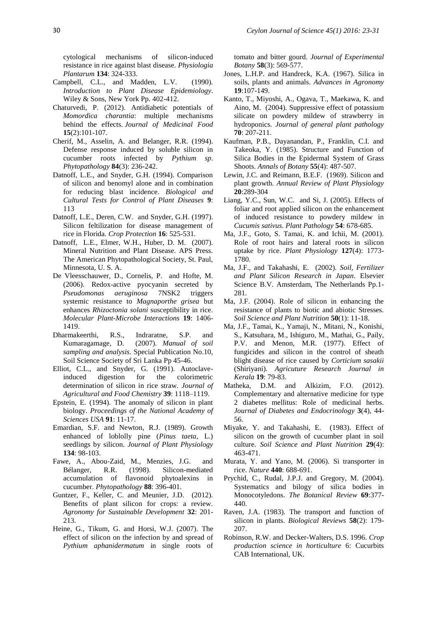cytological mechanisms of silicon-induced resistance in rice against blast disease. *Physiologia Plantarum* **134**: 324-333.

- Campbell, C.L., and Madden, L.V. (1990). *Introduction to Plant Disease Epidemiology*. Wiley & Sons, New York Pp. 402-412.
- Chaturvedi, P. (2012). Antidiabetic potentials of *Momordica charantia*: multiple mechanisms behind the effects. *Journal of Medicinal Food*  **15**(2):101-107.
- Cherif, M., Asselin, A. and Belanger, R.R. (1994). Defense response induced by soluble silicon in cucumber roots infected by *Pythium sp*. *Phytopathology* **84**(3): 236-242.
- Datnoff, L.E., and Snyder, G.H. (1994). Comparison of silicon and benomyl alone and in combination for reducing blast incidence. *Biological and Cultural Tests for Control of Plant Diseases* **9**: 113
- Datnoff, L.E., Deren, C.W. and Snyder, G.H. (1997). Silicon feltilization for disease management of rice in Florida. *Crop Protection* **16**: 525-531.
- Datnoff, L.E., Elmer, W.H., Huber, D. M. (2007). Mineral Nutrition and Plant Disease. APS Press. The American Phytopathological Society, St. Paul, Minnesota, U. S. A.
- De Vleesschauwer, D., Cornelis, P. and Hofte, M. (2006). Redox-active pyocyanin secreted by *Pseudomonas aeruginosa* 7NSK2 triggers systemic resistance to *Magnaporthe grisea* but enhances *Rhizoctonia solani* susceptibility in rice. *Molecular Plant-Microbe Interactions* **19**: 1406- 1419.
- Dharmakeerthi, R.S., Indraratne, S.P. and Kumaragamage, D. (2007). *Manual of soil sampling and analysis*. Special Publication No.10, Soil Science Society of Sri Lanka Pp 45-46.
- Elliot, C.L., and Snyder, G. (1991). Autoclaveinduced digestion for the colorimetric determination of silicon in rice straw. *Journal of Agricultural and Food Chemistry* **39**: 1118–1119.
- Epstein, E. (1994). The anomaly of silicon in plant biology. *Proceedings of the National Academy of Sciences USA* **91**: 11-17.
- Emardian, S.F. and Newton, R.J. (1989). Growth enhanced of loblolly pine (*Pinus taeta*, L.) seedlings by silicon. *Journal of Plant Physiology*  **134**: 98-103.
- Fawe, A., Abou-Zaid, M., Menzies, J.G. and Bélanger, R.R. (1998). Silicon-mediated accumulation of flavonoid phytoalexins in cucumber. *Phytopathology* **88**: 396-401.
- Guntzer, F., Keller, C. and Meunier, J.D. (2012). Benefits of plant silicon for crops: a review. *Agronomy for Sustainable Development* **32**: 201- 213.
- Heine, G., Tikum, G. and Horsi, W.J. (2007). The effect of silicon on the infection by and spread of *Pythium aphanidermatum* in single roots of

tomato and bitter gourd. *Journal of Experimental Botany* **58**(3): 569-577.

- Jones, L.H.P. and Handreck, K.A. (1967). Silica in soils, plants and animals. *Advances in Agronomy* **19**:107-149.
- Kanto, T., Miyoshi, A., Ogava, T., Maekawa, K. and Aino, M. (2004). Suppressive effect of potassium silicate on powdery mildew of strawberry in hydroponics. *Journal of general plant pathology* **70**: 207-211.
- Kaufman, P.B., Dayanandan, P., Franklin, C.I. and Takeoka, Y. (1985). Structure and Function of Silica Bodies in the Epidermal System of Grass Shoots. *Annals of Botany* **55**(4): 487-507.
- Lewin, J.C. and Reimann, B.E.F. (1969). Silicon and plant growth. *Annual Review of Plant Physiology*  **20**:289-304
- Liang, Y.C., Sun, W.C. and Si, J. (2005). Effects of foliar and root applied silicon on the enhancement of induced resistance to powdery mildew in *Cucumis sativus*. *Plant Pathology* **54**: 678-685.
- Ma, J.F., Goto, S. Tamai, K. and Ichii, M. (2001). Role of root hairs and lateral roots in silicon uptake by rice. *Plant Physiology* **127**(4): 1773- 1780.
- Ma, J.F., and Takahashi, E. (2002). *Soil, Fertilizer and Plant Silicon Research in Japan*. Elsevier Science B.V. Amsterdam, The Netherlands Pp.1- 281.
- Ma, J.F. (2004). Role of silicon in enhancing the resistance of plants to biotic and abiotic Stresses. *Soil Science and Plant Nutrition* **50**(1): 11-18.
- Ma, J.F., Tamai, K., Yamaji, N., Mitani, N., Konishi, S., Katsuhara, M., Ishiguro, M., Mathai, G., Paily, P.V. and Menon, M.R. (1977). Effect of fungicides and silicon in the control of sheath blight disease of rice caused by *Corticium sasakii* (Shiriyani). *Agricuture Research Journal in Kerala* **19**: 79-83.
- Matheka, D.M. and Alkizim, F.O. (2012). Complementary and alternative medicine for type 2 diabetes mellitus: Role of medicinal herbs. *Journal of Diabetes and Endocrinology* **3**(4), 44- 56.
- Miyake, Y. and Takahashi, E. (1983). Effect of silicon on the growth of cucumber plant in soil culture. *Soil Science and Plant Nutrition* **29**(4): 463-471.
- Murata, Y. and Yano, M. (2006). Si transporter in rice. *Nature* **440**: 688-691.
- Prychid, C., Rudal, J.P.J. and Gregory, M. (2004). Systematics and bilogy of silica bodies in Monocotyledons. *The Botanical Review* **69**:377- 440.
- Raven, J.A. (1983). The transport and function of silicon in plants. *Biological Reviews* **58**(2): 179- 207.
- Robinson, R.W. and Decker-Walters, D.S. 1996. *Crop production science in horticulture* 6: Cucurbits CAB International, UK.